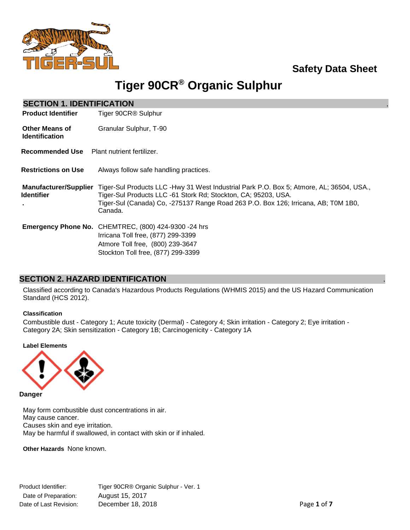

## **Safety Data Sheet**

# **Tiger 90CR® Organic Sulphur**

| <b>SECTION 1. IDENTIFICATION</b>                  |                                                                                                                                                                                                                                                             |
|---------------------------------------------------|-------------------------------------------------------------------------------------------------------------------------------------------------------------------------------------------------------------------------------------------------------------|
| <b>Product Identifier</b>                         | Tiger 90CR® Sulphur                                                                                                                                                                                                                                         |
| <b>Other Means of</b><br><b>Identification</b>    | Granular Sulphur, T-90                                                                                                                                                                                                                                      |
| Recommended Use                                   | Plant nutrient fertilizer.                                                                                                                                                                                                                                  |
| <b>Restrictions on Use</b>                        | Always follow safe handling practices.                                                                                                                                                                                                                      |
| <b>Manufacturer/Supplier</b><br><b>Identifier</b> | Tiger-Sul Products LLC -Hwy 31 West Industrial Park P.O. Box 5; Atmore, AL; 36504, USA.,<br>Tiger-Sul Products LLC -61 Stork Rd; Stockton, CA; 95203, USA.<br>Tiger-Sul (Canada) Co, -275137 Range Road 263 P.O. Box 126; Irricana, AB; T0M 1B0,<br>Canada. |
|                                                   | <b>Emergency Phone No.</b> CHEMTREC, (800) 424-9300 -24 hrs<br>Irricana Toll free, (877) 299-3399<br>Atmore Toll free, (800) 239-3647<br>Stockton Toll free, (877) 299-3399                                                                                 |

### **SECTION 2. HAZARD IDENTIFICATION** .

Classified according to Canada's Hazardous Products Regulations (WHMIS 2015) and the US Hazard Communication Standard (HCS 2012).

### **Classification**

Combustible dust - Category 1; Acute toxicity (Dermal) - Category 4; Skin irritation - Category 2; Eye irritation - Category 2A; Skin sensitization - Category 1B; Carcinogenicity - Category 1A

### **Label Elements**



**Danger**

May form combustible dust concentrations in air. May cause cancer. Causes skin and eye irritation. May be harmful if swallowed, in contact with skin or if inhaled.

**Other Hazards** None known.

Product Identifier: Tiger 90CR® Organic Sulphur - Ver. 1 Date of Preparation: August 15, 2017 Date of Last Revision: December 18, 2018 **Page 1** of **7**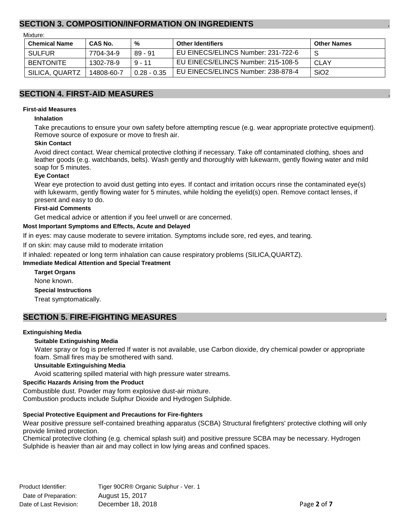### **SECTION 3. COMPOSITION/INFORMATION ON INGREDIENTS** .

Mixture:

| <b>Chemical Name</b> | CAS No.    | %             | <b>Other Identifiers</b>           | <b>Other Names</b> |
|----------------------|------------|---------------|------------------------------------|--------------------|
| <b>SULFUR</b>        | 7704-34-9  | $89 - 91$     | EU EINECS/ELINCS Number: 231-722-6 | -S                 |
| <b>BENTONITE</b>     | 1302-78-9  | $9 - 11$      | EU EINECS/ELINCS Number: 215-108-5 | CLAY               |
| SILICA, QUARTZ       | 14808-60-7 | $0.28 - 0.35$ | EU EINECS/ELINCS Number: 238-878-4 | SiO <sub>2</sub>   |

### **SECTION 4. FIRST-AID MEASURES** .

#### **First-aid Measures**

#### **Inhalation**

Take precautions to ensure your own safety before attempting rescue (e.g. wear appropriate protective equipment). Remove source of exposure or move to fresh air.

#### **Skin Contact**

Avoid direct contact. Wear chemical protective clothing if necessary. Take off contaminated clothing, shoes and leather goods (e.g. watchbands, belts). Wash gently and thoroughly with lukewarm, gently flowing water and mild soap for 5 minutes.

### **Eye Contact**

Wear eye protection to avoid dust getting into eyes. If contact and irritation occurs rinse the contaminated eye(s) with lukewarm, gently flowing water for 5 minutes, while holding the eyelid(s) open. Remove contact lenses, if present and easy to do.

#### **First-aid Comments**

Get medical advice or attention if you feel unwell or are concerned.

#### **Most Important Symptoms and Effects, Acute and Delayed**

If in eyes: may cause moderate to severe irritation. Symptoms include sore, red eyes, and tearing.

If on skin: may cause mild to moderate irritation

If inhaled: repeated or long term inhalation can cause respiratory problems (SILICA,QUARTZ).

#### **Immediate Medical Attention and Special Treatment**

**Target Organs** None known. **Special Instructions** Treat symptomatically.

### **SECTION 5. FIRE-FIGHTING MEASURES**

#### **Extinguishing Media**

### **Suitable Extinguishing Media**

Water spray or fog is preferred If water is not available, use Carbon dioxide, dry chemical powder or appropriate foam. Small fires may be smothered with sand.

#### **Unsuitable Extinguishing Media**

Avoid scattering spilled material with high pressure water streams.

#### **Specific Hazards Arising from the Product**

Combustible dust. Powder may form explosive dust-air mixture. Combustion products include Sulphur Dioxide and Hydrogen Sulphide.

### **Special Protective Equipment and Precautions for Fire-fighters**

Wear positive pressure self-contained breathing apparatus (SCBA) Structural firefighters' protective clothing will only provide limited protection.

Chemical protective clothing (e.g. chemical splash suit) and positive pressure SCBA may be necessary. Hydrogen Sulphide is heavier than air and may collect in low lying areas and confined spaces.

Product Identifier: Tiger 90CR® Organic Sulphur - Ver. 1 Date of Preparation: August 15, 2017 Date of Last Revision: December 18, 2018 **Page 2** of **7**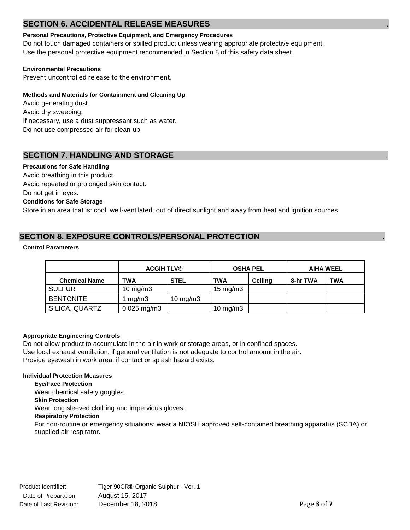### **SECTION 6. ACCIDENTAL RELEASE MEASURES**

### **Personal Precautions, Protective Equipment, and Emergency Procedures**

Do not touch damaged containers or spilled product unless wearing appropriate protective equipment. Use the personal protective equipment recommended in Section 8 of this safety data sheet.

### **Environmental Precautions**

Prevent uncontrolled release to the environment.

### **Methods and Materials for Containment and Cleaning Up**

Avoid generating dust. Avoid dry sweeping. If necessary, use a dust suppressant such as water. Do not use compressed air for clean-up.

### **SECTION 7. HANDLING AND STORAGE**

#### **Precautions for Safe Handling**

Avoid breathing in this product. Avoid repeated or prolonged skin contact. Do not get in eyes. **Conditions for Safe Storage** Store in an area that is: cool, well-ventilated, out of direct sunlight and away from heat and ignition sources.

### **SECTION 8. EXPOSURE CONTROLS/PERSONAL PROTECTION** .

#### **Control Parameters**

|                      | <b>ACGIH TLV®</b> |             | <b>OSHA PEL</b>     |                | <b>AIHA WEEL</b> |            |
|----------------------|-------------------|-------------|---------------------|----------------|------------------|------------|
| <b>Chemical Name</b> | TWA               | <b>STEL</b> | <b>TWA</b>          | <b>Ceiling</b> | 8-hr TWA         | <b>TWA</b> |
| <b>SULFUR</b>        | 10 mg/m $3$       |             | $15 \text{ mg/m}$   |                |                  |            |
| <b>BENTONITE</b>     | mg/m3             | 10 mg/m $3$ |                     |                |                  |            |
| SILICA, QUARTZ       | $0.025$ mg/m3     |             | $10 \text{ mg/m}$ 3 |                |                  |            |

### **Appropriate Engineering Controls**

Do not allow product to accumulate in the air in work or storage areas, or in confined spaces. Use local exhaust ventilation, if general ventilation is not adequate to control amount in the air. Provide eyewash in work area, if contact or splash hazard exists.

### **Individual Protection Measures**

supplied air respirator.

**Eye/Face Protection** Wear chemical safety goggles. **Skin Protection** Wear long sleeved clothing and impervious gloves. **Respiratory Protection** For non-routine or emergency situations: wear a NIOSH approved self-contained breathing apparatus (SCBA) or

Product Identifier: Tiger 90CR® Organic Sulphur - Ver. 1 Date of Preparation: August 15, 2017 Date of Last Revision: December 18, 2018 **Page 3** of **7 Page 3** of **7**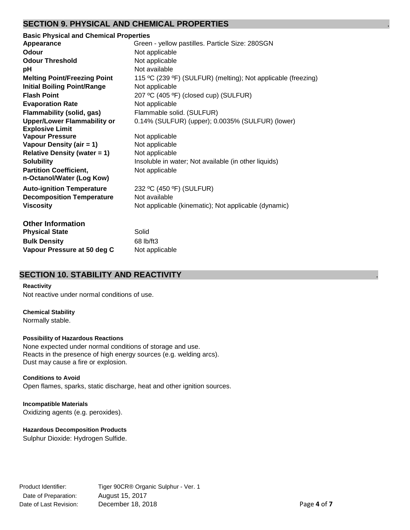### **SECTION 9. PHYSICAL AND CHEMICAL PROPERTIES** .

| <b>Basic Physical and Chemical Properties</b> |                                                               |  |  |
|-----------------------------------------------|---------------------------------------------------------------|--|--|
| Appearance                                    | Green - yellow pastilles. Particle Size: 280SGN               |  |  |
| Odour                                         | Not applicable                                                |  |  |
| <b>Odour Threshold</b>                        | Not applicable                                                |  |  |
| рH                                            | Not available                                                 |  |  |
| <b>Melting Point/Freezing Point</b>           | 115 °C (239 °F) (SULFUR) (melting); Not applicable (freezing) |  |  |
| <b>Initial Boiling Point/Range</b>            | Not applicable                                                |  |  |
| <b>Flash Point</b>                            | 207 °C (405 °F) (closed cup) (SULFUR)                         |  |  |
| <b>Evaporation Rate</b>                       | Not applicable                                                |  |  |
| Flammability (solid, gas)                     | Flammable solid. (SULFUR)                                     |  |  |
| <b>Upper/Lower Flammability or</b>            | 0.14% (SULFUR) (upper); 0.0035% (SULFUR) (lower)              |  |  |
| <b>Explosive Limit</b>                        |                                                               |  |  |
| <b>Vapour Pressure</b>                        | Not applicable                                                |  |  |
| Vapour Density (air = 1)                      | Not applicable                                                |  |  |
| <b>Relative Density (water = 1)</b>           | Not applicable                                                |  |  |
| <b>Solubility</b>                             | Insoluble in water; Not available (in other liquids)          |  |  |
| <b>Partition Coefficient,</b>                 | Not applicable                                                |  |  |
| n-Octanol/Water (Log Kow)                     |                                                               |  |  |
| <b>Auto-ignition Temperature</b>              | 232 °C (450 °F) (SULFUR)                                      |  |  |
| <b>Decomposition Temperature</b>              | Not available                                                 |  |  |
| <b>Viscosity</b>                              | Not applicable (kinematic); Not applicable (dynamic)          |  |  |
|                                               |                                                               |  |  |
| <b>Other Information</b>                      |                                                               |  |  |
| <b>Physical State</b>                         | Solid                                                         |  |  |
| <b>Bulk Density</b>                           | 68 lb/ft3                                                     |  |  |
| Vapour Pressure at 50 deg C                   | Not applicable                                                |  |  |

### **SECTION 10. STABILITY AND REACTIVITY** .

### **Reactivity**

Not reactive under normal conditions of use.

### **Chemical Stability**

Normally stable.

### **Possibility of Hazardous Reactions**

None expected under normal conditions of storage and use. Reacts in the presence of high energy sources (e.g. welding arcs). Dust may cause a fire or explosion.

### **Conditions to Avoid**

Open flames, sparks, static discharge, heat and other ignition sources.

#### **Incompatible Materials** Oxidizing agents (e.g. peroxides).

### **Hazardous Decomposition Products**

Sulphur Dioxide: Hydrogen Sulfide.

Product Identifier: Tiger 90CR® Organic Sulphur - Ver. 1 Date of Preparation: August 15, 2017 Date of Last Revision: December 18, 2018 **Page 4** of **7** Page 4 of **7**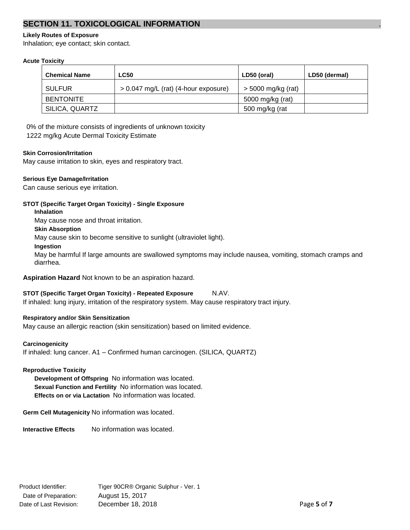### **SECTION 11. TOXICOLOGICAL INFORMATION** .

### **Likely Routes of Exposure**

Inhalation; eye contact; skin contact.

### **Acute Toxicity**

| <b>Chemical Name</b> | <b>LC50</b>                          | LD50 (oral)          | LD50 (dermal) |
|----------------------|--------------------------------------|----------------------|---------------|
| <b>SULFUR</b>        | > 0.047 mg/L (rat) (4-hour exposure) | $>$ 5000 mg/kg (rat) |               |
| <b>BENTONITE</b>     |                                      | 5000 mg/kg (rat)     |               |
| SILICA, QUARTZ       |                                      | 500 mg/kg (rat       |               |

0% of the mixture consists of ingredients of unknown toxicity

1222 mg/kg Acute Dermal Toxicity Estimate

### **Skin Corrosion/Irritation**

May cause irritation to skin, eyes and respiratory tract.

### **Serious Eye Damage/Irritation**

Can cause serious eye irritation.

### **STOT (Specific Target Organ Toxicity) - Single Exposure**

**Inhalation**

May cause nose and throat irritation.

### **Skin Absorption**

May cause skin to become sensitive to sunlight (ultraviolet light).

### **Ingestion**

May be harmful If large amounts are swallowed symptoms may include nausea, vomiting, stomach cramps and diarrhea.

**Aspiration Hazard** Not known to be an aspiration hazard.

### **STOT (Specific Target Organ Toxicity) - Repeated Exposure** N.AV.

If inhaled: lung injury, irritation of the respiratory system. May cause respiratory tract injury.

### **Respiratory and/or Skin Sensitization**

May cause an allergic reaction (skin sensitization) based on limited evidence.

### **Carcinogenicity**

If inhaled: lung cancer. A1 – Confirmed human carcinogen. (SILICA, QUARTZ)

### **Reproductive Toxicity**

**Development of Offspring** No information was located. **Sexual Function and Fertility** No information was located. **Effects on or via Lactation** No information was located.

**Germ Cell Mutagenicity** No information was located.

**Interactive Effects** No information was located.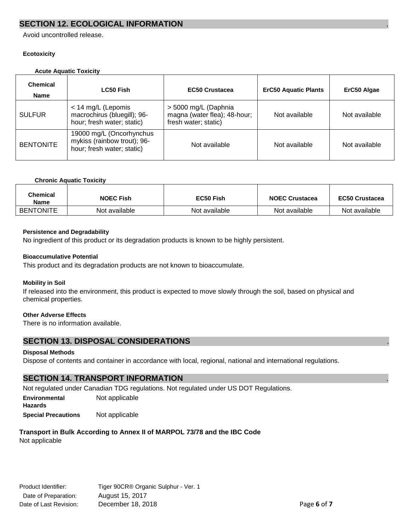### **SECTION 12. ECOLOGICAL INFORMATION**

Avoid uncontrolled release.

### **Ecotoxicity**

### **Acute Aquatic Toxicity**

| <b>Chemical</b><br><b>Name</b> | <b>LC50 Fish</b>                                                                      | <b>EC50 Crustacea</b>                                                        | <b>ErC50 Aquatic Plants</b> | ErC50 Algae   |
|--------------------------------|---------------------------------------------------------------------------------------|------------------------------------------------------------------------------|-----------------------------|---------------|
| <b>SULFUR</b>                  | $<$ 14 mg/L (Lepomis<br>macrochirus (bluegill); 96-<br>hour; fresh water; static)     | > 5000 mg/L (Daphnia<br>magna (water flea); 48-hour;<br>fresh water; static) | Not available               | Not available |
| <b>BENTONITE</b>               | 19000 mg/L (Oncorhynchus<br>mykiss (rainbow trout); 96-<br>hour; fresh water; static) | Not available                                                                | Not available               | Not available |

### **Chronic Aquatic Toxicity**

| Chemical<br>Name | <b>NOEC Fish</b> | EC50 Fish     | <b>NOEC Crustacea</b> | <b>EC50 Crustacea</b> |
|------------------|------------------|---------------|-----------------------|-----------------------|
| <b>BENTONITE</b> | Not available    | Not available | Not available         | Not available         |

### **Persistence and Degradability**

No ingredient of this product or its degradation products is known to be highly persistent.

#### **Bioaccumulative Potential**

This product and its degradation products are not known to bioaccumulate.

### **Mobility in Soil**

If released into the environment, this product is expected to move slowly through the soil, based on physical and chemical properties.

### **Other Adverse Effects**

There is no information available.

### **SECTION 13. DISPOSAL CONSIDERATIONS** .

### **Disposal Methods**

Dispose of contents and container in accordance with local, regional, national and international regulations.

### **SECTION 14. TRANSPORT INFORMATION** .

Not regulated under Canadian TDG regulations. Not regulated under US DOT Regulations.

**Environmental** Not applicable **Hazards**

**Special Precautions** Not applicable

### **Transport in Bulk According to Annex II of MARPOL 73/78 and the IBC Code**

Not applicable

| Product Identifier:    | Tiger 90CR® Organic Sulphur - Ver. 1 |             |
|------------------------|--------------------------------------|-------------|
| Date of Preparation:   | August 15, 2017                      |             |
| Date of Last Revision: | December 18, 2018                    | Page 6 of 7 |